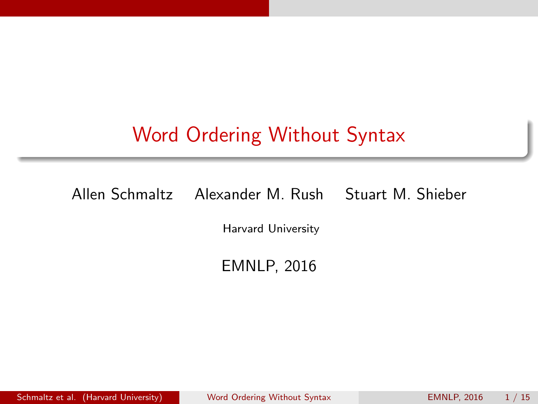# <span id="page-0-0"></span>Word Ordering Without Syntax

Allen Schmaltz Alexander M. Rush Stuart M. Shieber

Harvard University

EMNLP, 2016

Schmaltz et al. (Harvard University) [Word Ordering Without Syntax](#page-18-0) EMNLP, 2016 1 / 15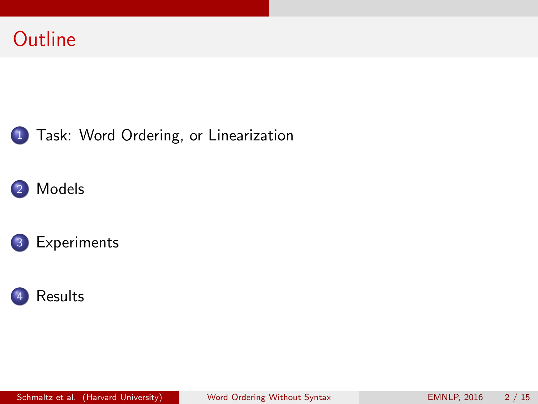







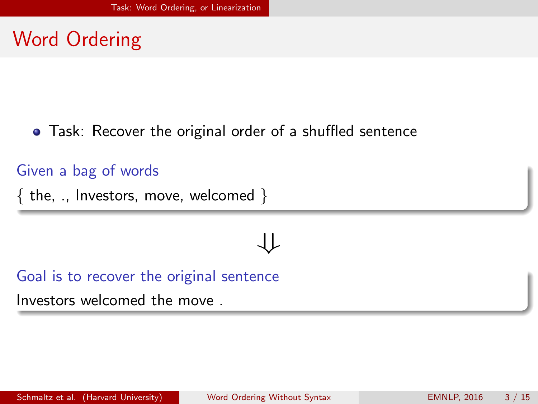### <span id="page-2-0"></span>Word Ordering

Task: Recover the original order of a shuffled sentence

#### Given a bag of words

 $\{$  the, ., Investors, move, welcomed  $\}$ 

# ⇓

Goal is to recover the original sentence

Investors welcomed the move .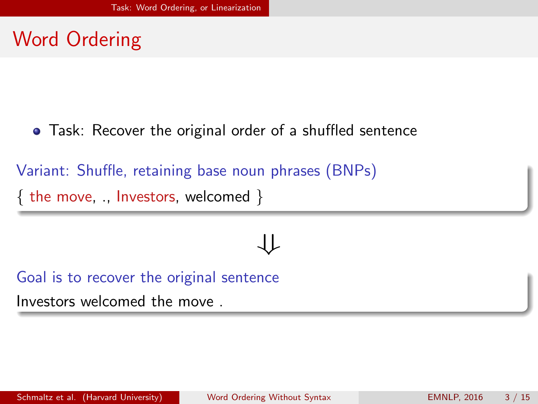### <span id="page-3-0"></span>Word Ordering

Task: Recover the original order of a shuffled sentence

Variant: Shuffle, retaining base noun phrases (BNPs) { the move, ., Investors, welcomed }

# ⇃⇂

Goal is to recover the original sentence

Investors welcomed the move .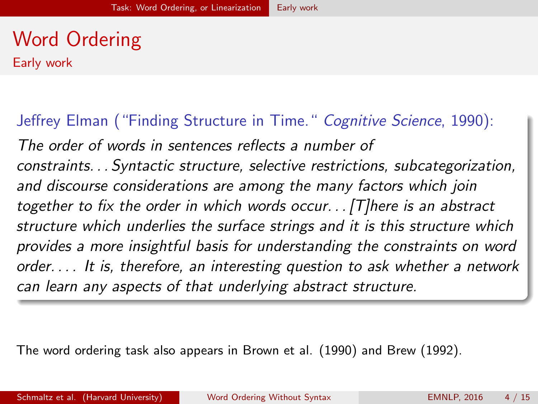# <span id="page-4-0"></span>Word Ordering

Early work

Jeffrey Elman ("Finding Structure in Time." Cognitive Science, 1990): The order of words in sentences reflects a number of constraints. . . Syntactic structure, selective restrictions, subcategorization, and discourse considerations are among the many factors which join together to fix the order in which words occur...  $[T]$ here is an abstract structure which underlies the surface strings and it is this structure which provides a more insightful basis for understanding the constraints on word order. . . . It is, therefore, an interesting question to ask whether a network can learn any aspects of that underlying abstract structure.

The word ordering task also appears in Brown et al. (1990) and Brew (1992).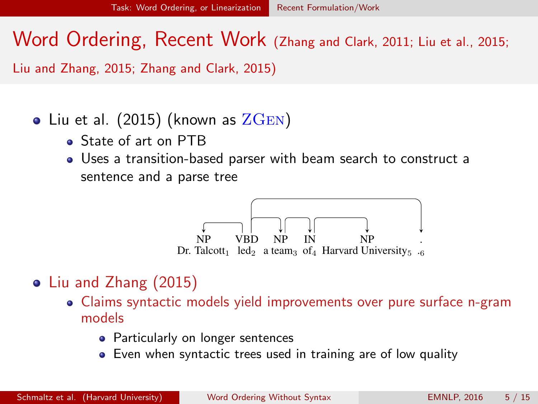<span id="page-5-0"></span>Word Ordering, Recent Work (Zhang and Clark, 2011; Liu et al., 2015; Liu and Zhang, 2015; Zhang and Clark, 2015)

### • Liu et al.  $(2015)$  (known as  $\rm ZGEN$ )

- State of art on PTB
- Uses a transition-based parser with beam search to construct a sentence and a parse tree



### Liu and Zhang (2015)

- lem, which has a theoretical upper bound on the Claims syntactic models yield improvements over pure surface n-gram models
	- end a<br>Particularly on longer sentences y on longer sentences
	- Even when syntactic trees used in training are of low quality  $10^{10}$  Rightarc  $\sim$  $ty$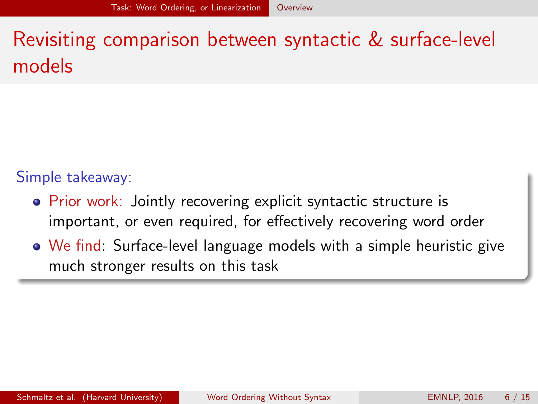# <span id="page-6-0"></span>Revisiting comparison between syntactic & surface-level models

#### Simple takeaway:

- **Prior work: Jointly recovering explicit syntactic structure is** important, or even required, for effectively recovering word order
- We find: Surface-level language models with a simple heuristic give much stronger results on this task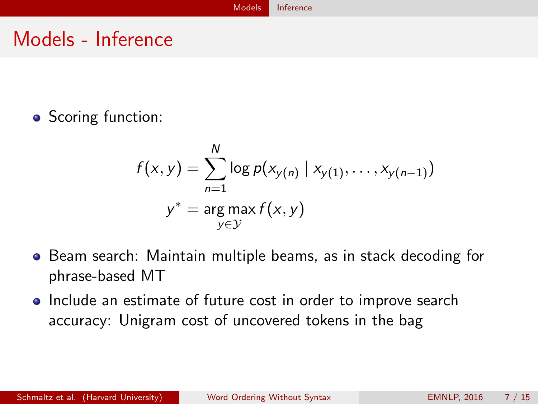### <span id="page-7-0"></span>Models - Inference

• Scoring function:

$$
f(x,y) = \sum_{n=1}^{N} \log p(x_{y(n)} | x_{y(1)}, \dots, x_{y(n-1)})
$$

$$
y^* = \arg\max_{y \in \mathcal{Y}} f(x,y)
$$

- **•** Beam search: Maintain multiple beams, as in stack decoding for phrase-based MT
- Include an estimate of future cost in order to improve search accuracy: Unigram cost of uncovered tokens in the bag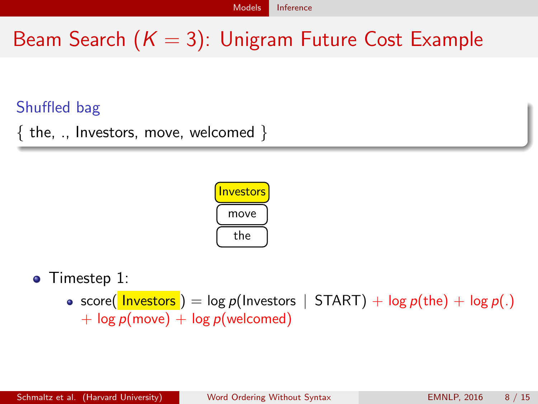# <span id="page-8-0"></span>Beam Search  $(K = 3)$ : Unigram Future Cost Example

### Shuffled bag

 $\{$  the, ., Investors, move, welcomed  $\}$ 



• Timestep 1:

• score( Investors ) = log p(Investors | START) + log p(the) + log p(.)  $+$  log  $p$ (move)  $+$  log  $p$ (welcomed)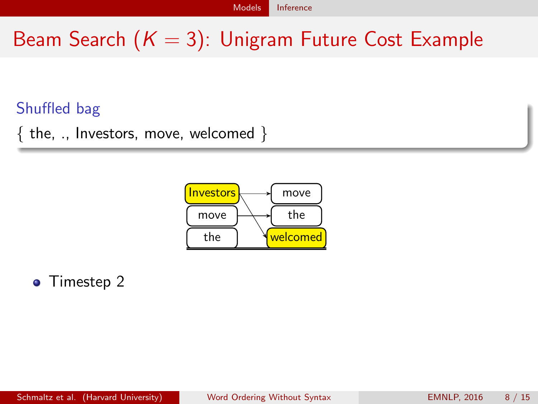# <span id="page-9-0"></span>Beam Search  $(K = 3)$ : Unigram Future Cost Example

### Shuffled bag

 $\{$  the, ., Investors, move, welcomed  $\}$ 



#### $\bullet$  Timestep 2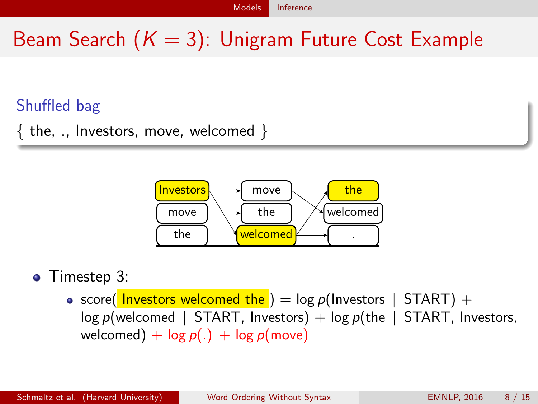# <span id="page-10-0"></span>Beam Search  $(K = 3)$ : Unigram Future Cost Example

### Shuffled bag

 $\{$  the, ., Investors, move, welcomed  $\}$ 



#### • Timestep 3:

• score( Investors welcomed the ) = log  $p(\text{Investors} \mid \text{START})$  + log  $p(\text{velocity})$  + log  $p(\text{the} \mid \text{START}$ . Investors.  $log p$ (welcomed | START, Investors) +  $log p$ (the | welcomed) +  $log p(.)$  +  $log p(move)$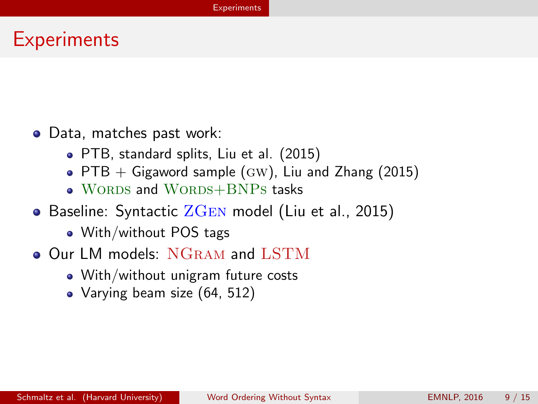### <span id="page-11-0"></span>**Experiments**

- Data, matches past work:
	- PTB, standard splits, Liu et al. (2015)
	- PTB  $+$  Gigaword sample (GW), Liu and Zhang (2015)
	- WORDS and WORDS+BNPs tasks
- Baseline: Syntactic  $ZGEN$  model (Liu et al., 2015)
	- With/without POS tags
- **Our LM models: NGRAM and LSTM** 
	- With/without unigram future costs
	- Varying beam size (64, 512)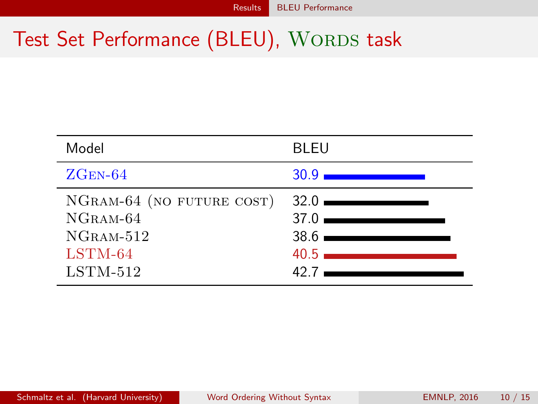# <span id="page-12-0"></span>Test Set Performance (BLEU), WORDS task

| Model                                                                           | <b>BLEU</b>                                                                     |
|---------------------------------------------------------------------------------|---------------------------------------------------------------------------------|
| $ZGEN-64$                                                                       | 30.9 <sub>1</sub>                                                               |
| NGRAM-64 (NO FUTURE COST)<br>NGRAM-64<br>$NGRAM-512$<br>$LSTM-64$<br>$LSTM-512$ | $32.0$ $\longrightarrow$<br>$37.0$ $\longrightarrow$<br>$38.6$ $\equiv$<br>427. |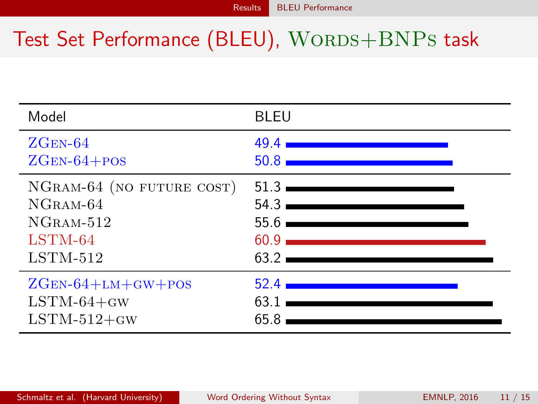# <span id="page-13-0"></span>Test Set Performance (BLEU), WORDS+BNPs task

| Model                     | <b>BLEU</b>                                                                                                                                                                                                                 |
|---------------------------|-----------------------------------------------------------------------------------------------------------------------------------------------------------------------------------------------------------------------------|
| $ZGEN-64$                 | 49.4                                                                                                                                                                                                                        |
| $ZGEN-64+POS$             | 50.8                                                                                                                                                                                                                        |
| NGRAM-64 (NO FUTURE COST) | $51.3$ $\equiv$                                                                                                                                                                                                             |
| $NGRAM-64$                | 54.3                                                                                                                                                                                                                        |
| $NGRAM-512$               | $55.6$ $\longrightarrow$                                                                                                                                                                                                    |
| $LSTM-64$                 | $60.9$ and $60.9$ and $60.9$ and $60.9$ and $60.9$ and $60.9$ and $60.9$ and $60.9$ and $60.9$ and $60.9$ and $60.9$ and $60.9$ and $60.9$ and $60.9$ and $60.9$ and $60.9$ and $60.9$ and $60.9$ and $60.9$ and $60.9$ and |
| $LSTM-512$                | $63.2$ $\longrightarrow$                                                                                                                                                                                                    |
| $ZGEN-64+LM+GW+POS$       | 52.4                                                                                                                                                                                                                        |
| $LSTM-64+GW$              | 63.1                                                                                                                                                                                                                        |
| $LSTM-512+GW$             | 65.8                                                                                                                                                                                                                        |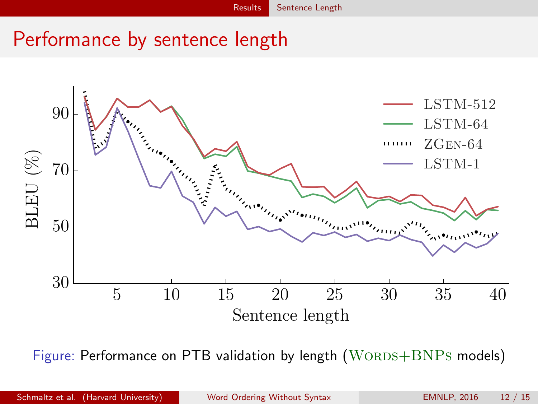## <span id="page-14-0"></span>Performance by sentence length



Figure: Performance on PTB validation by length  $(WORDS+BNPs$  models)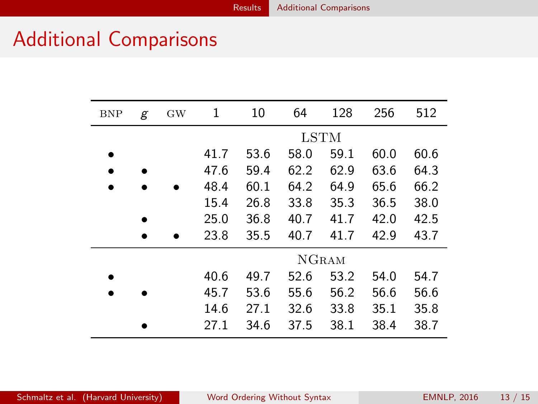### <span id="page-15-0"></span>Additional Comparisons

 $\overline{a}$ 

| <b>BNP</b> | g | <b>GW</b> | 1            | 10   | 64   | 128  | 256  | 512  |  |
|------------|---|-----------|--------------|------|------|------|------|------|--|
|            |   |           | LSTM         |      |      |      |      |      |  |
|            |   |           | 41.7         | 53.6 | 58.0 | 59.1 | 60.0 | 60.6 |  |
|            |   |           | 47.6         | 59.4 | 62.2 | 62.9 | 63.6 | 64.3 |  |
|            |   |           | 48.4         | 60.1 | 64.2 | 64.9 | 65.6 | 66.2 |  |
|            |   |           | 15.4         | 26.8 | 33.8 | 35.3 | 36.5 | 38.0 |  |
|            |   |           | 25.0         | 36.8 | 40.7 | 41.7 | 42.0 | 42.5 |  |
|            |   |           | 23.8         | 35.5 | 40.7 | 41.7 | 42.9 | 43.7 |  |
|            |   |           | <b>NGRAM</b> |      |      |      |      |      |  |
|            |   |           | 40.6         | 49.7 | 52.6 | 53.2 | 54.0 | 54.7 |  |
|            |   |           | 45.7         | 53.6 | 55.6 | 56.2 | 56.6 | 56.6 |  |
|            |   |           | 14.6         | 27.1 | 32.6 | 33.8 | 35.1 | 35.8 |  |
|            |   |           | 27.1         | 34.6 | 37.5 | 38.1 | 38.4 | 38.7 |  |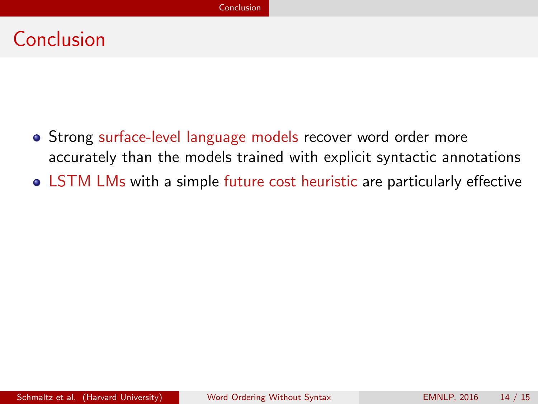### <span id="page-16-0"></span>Conclusion

- Strong surface-level language models recover word order more accurately than the models trained with explicit syntactic annotations
- LSTM LMs with a simple future cost heuristic are particularly effective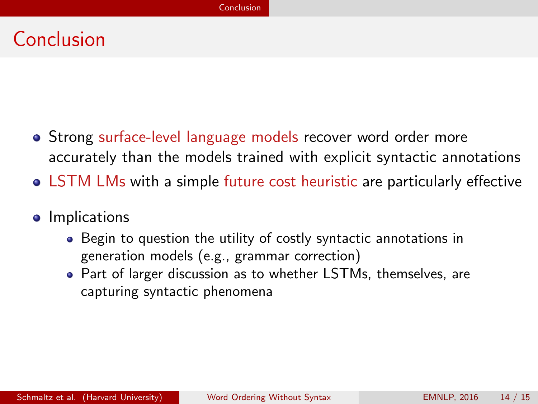### <span id="page-17-0"></span>Conclusion

- Strong surface-level language models recover word order more accurately than the models trained with explicit syntactic annotations
- LSTM LMs with a simple future cost heuristic are particularly effective
- **•** Implications
	- Begin to question the utility of costly syntactic annotations in generation models (e.g., grammar correction)
	- Part of larger discussion as to whether LSTMs, themselves, are capturing syntactic phenomena